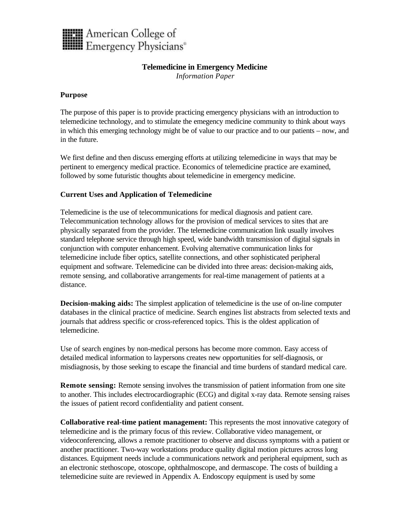

# **Telemedicine in Emergency Medicine**

*Information Paper*

## **Purpose**

The purpose of this paper is to provide practicing emergency physicians with an introduction to telemedicine technology, and to stimulate the emegency medicine community to think about ways in which this emerging technology might be of value to our practice and to our patients – now, and in the future.

We first define and then discuss emerging efforts at utilizing telemedicine in ways that may be pertinent to emergency medical practice. Economics of telemedicine practice are examined, followed by some futuristic thoughts about telemedicine in emergency medicine.

# **Current Uses and Application of Telemedicine**

Telemedicine is the use of telecommunications for medical diagnosis and patient care. Telecommunication technology allows for the provision of medical services to sites that are physically separated from the provider. The telemedicine communication link usually involves standard telephone service through high speed, wide bandwidth transmission of digital signals in conjunction with computer enhancement. Evolving alternative communication links for telemedicine include fiber optics, satellite connections, and other sophisticated peripheral equipment and software. Telemedicine can be divided into three areas: decision-making aids, remote sensing, and collaborative arrangements for real-time management of patients at a distance.

**Decision-making aids:** The simplest application of telemedicine is the use of on-line computer databases in the clinical practice of medicine. Search engines list abstracts from selected texts and journals that address specific or cross-referenced topics. This is the oldest application of telemedicine.

Use of search engines by non-medical persons has become more common. Easy access of detailed medical information to laypersons creates new opportunities for self-diagnosis, or misdiagnosis, by those seeking to escape the financial and time burdens of standard medical care.

**Remote sensing:** Remote sensing involves the transmission of patient information from one site to another. This includes electrocardiographic (ECG) and digital x-ray data. Remote sensing raises the issues of patient record confidentiality and patient consent.

**Collaborative real-time patient management:** This represents the most innovative category of telemedicine and is the primary focus of this review. Collaborative video management, or videoconferencing, allows a remote practitioner to observe and discuss symptoms with a patient or another practitioner. Two-way workstations produce quality digital motion pictures across long distances. Equipment needs include a communications network and peripheral equipment, such as an electronic stethoscope, otoscope, ophthalmoscope, and dermascope. The costs of building a telemedicine suite are reviewed in Appendix A. Endoscopy equipment is used by some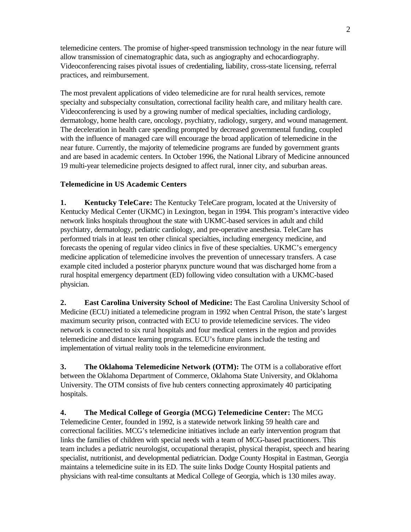telemedicine centers. The promise of higher-speed transmission technology in the near future will allow transmission of cinematographic data, such as angiography and echocardiography. Videoconferencing raises pivotal issues of credentialing, liability, cross-state licensing, referral practices, and reimbursement.

The most prevalent applications of video telemedicine are for rural health services, remote specialty and subspecialty consultation, correctional facility health care, and military health care. Videoconferencing is used by a growing number of medical specialties, including cardiology, dermatology, home health care, oncology, psychiatry, radiology, surgery, and wound management. The deceleration in health care spending prompted by decreased governmental funding, coupled with the influence of managed care will encourage the broad application of telemedicine in the near future. Currently, the majority of telemedicine programs are funded by government grants and are based in academic centers. In October 1996, the National Library of Medicine announced 19 multi-year telemedicine projects designed to affect rural, inner city, and suburban areas.

# **Telemedicine in US Academic Centers**

**1. Kentucky TeleCare:** The Kentucky TeleCare program, located at the University of Kentucky Medical Center (UKMC) in Lexington, began in 1994. This program's interactive video network links hospitals throughout the state with UKMC-based services in adult and child psychiatry, dermatology, pediatric cardiology, and pre-operative anesthesia. TeleCare has performed trials in at least ten other clinical specialties, including emergency medicine, and forecasts the opening of regular video clinics in five of these specialties. UKMC's emergency medicine application of telemedicine involves the prevention of unnecessary transfers. A case example cited included a posterior pharynx puncture wound that was discharged home from a rural hospital emergency department (ED) following video consultation with a UKMC-based physician.

**2. East Carolina University School of Medicine:** The East Carolina University School of Medicine (ECU) initiated a telemedicine program in 1992 when Central Prison, the state's largest maximum security prison, contracted with ECU to provide telemedicine services. The video network is connected to six rural hospitals and four medical centers in the region and provides telemedicine and distance learning programs. ECU's future plans include the testing and implementation of virtual reality tools in the telemedicine environment.

**3. The Oklahoma Telemedicine Network (OTM):** The OTM is a collaborative effort between the Oklahoma Department of Commerce, Oklahoma State University, and Oklahoma University. The OTM consists of five hub centers connecting approximately 40 participating hospitals.

**4. The Medical College of Georgia (MCG) Telemedicine Center:** The MCG Telemedicine Center, founded in 1992, is a statewide network linking 59 health care and correctional facilities. MCG's telemedicine initiatives include an early intervention program that links the families of children with special needs with a team of MCG-based practitioners. This team includes a pediatric neurologist, occupational therapist, physical therapist, speech and hearing specialist, nutritionist, and developmental pediatrician. Dodge County Hospital in Eastman, Georgia maintains a telemedicine suite in its ED. The suite links Dodge County Hospital patients and physicians with real-time consultants at Medical College of Georgia, which is 130 miles away.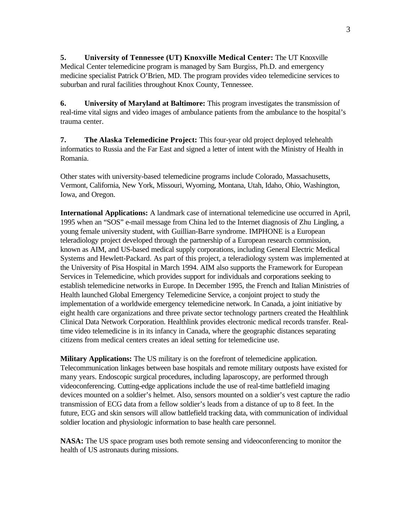**5. University of Tennessee (UT) Knoxville Medical Center:** The UT Knoxville Medical Center telemedicine program is managed by Sam Burgiss, Ph.D. and emergency medicine specialist Patrick O'Brien, MD. The program provides video telemedicine services to suburban and rural facilities throughout Knox County, Tennessee.

**6. University of Maryland at Baltimore:** This program investigates the transmission of real-time vital signs and video images of ambulance patients from the ambulance to the hospital's trauma center.

**7. The Alaska Telemedicine Project:** This four-year old project deployed telehealth informatics to Russia and the Far East and signed a letter of intent with the Ministry of Health in Romania.

Other states with university-based telemedicine programs include Colorado, Massachusetts, Vermont, California, New York, Missouri, Wyoming, Montana, Utah, Idaho, Ohio, Washington, Iowa, and Oregon.

**International Applications:** A landmark case of international telemedicine use occurred in April, 1995 when an "SOS" e-mail message from China led to the Internet diagnosis of Zhu Lingling, a young female university student, with Guillian-Barre syndrome. IMPHONE is a European teleradiology project developed through the partnership of a European research commission, known as AIM, and US-based medical supply corporations, including General Electric Medical Systems and Hewlett-Packard. As part of this project, a teleradiology system was implemented at the University of Pisa Hospital in March 1994. AIM also supports the Framework for European Services in Telemedicine, which provides support for individuals and corporations seeking to establish telemedicine networks in Europe. In December 1995, the French and Italian Ministries of Health launched Global Emergency Telemedicine Service, a conjoint project to study the implementation of a worldwide emergency telemedicine network. In Canada, a joint initiative by eight health care organizations and three private sector technology partners created the Healthlink Clinical Data Network Corporation. Healthlink provides electronic medical records transfer. Realtime video telemedicine is in its infancy in Canada, where the geographic distances separating citizens from medical centers creates an ideal setting for telemedicine use.

**Military Applications:** The US military is on the forefront of telemedicine application. Telecommunication linkages between base hospitals and remote military outposts have existed for many years. Endoscopic surgical procedures, including laparoscopy, are performed through videoconferencing. Cutting-edge applications include the use of real-time battlefield imaging devices mounted on a soldier's helmet. Also, sensors mounted on a soldier's vest capture the radio transmission of ECG data from a fellow soldier's leads from a distance of up to 8 feet. In the future, ECG and skin sensors will allow battlefield tracking data, with communication of individual soldier location and physiologic information to base health care personnel.

**NASA:** The US space program uses both remote sensing and videoconferencing to monitor the health of US astronauts during missions.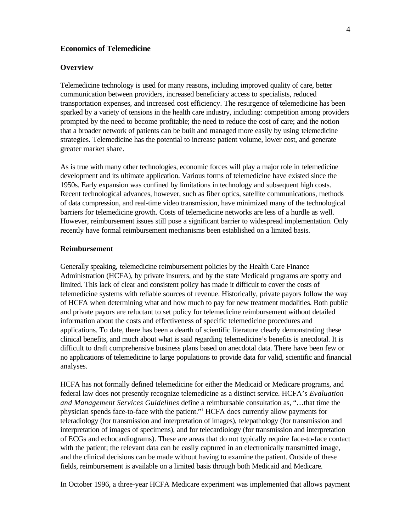## **Economics of Telemedicine**

#### **Overview**

Telemedicine technology is used for many reasons, including improved quality of care, better communication between providers, increased beneficiary access to specialists, reduced transportation expenses, and increased cost efficiency. The resurgence of telemedicine has been sparked by a variety of tensions in the health care industry, including: competition among providers prompted by the need to become profitable; the need to reduce the cost of care; and the notion that a broader network of patients can be built and managed more easily by using telemedicine strategies. Telemedicine has the potential to increase patient volume, lower cost, and generate greater market share.

As is true with many other technologies, economic forces will play a major role in telemedicine development and its ultimate application. Various forms of telemedicine have existed since the 1950s. Early expansion was confined by limitations in technology and subsequent high costs. Recent technological advances, however, such as fiber optics, satellite communications, methods of data compression, and real-time video transmission, have minimized many of the technological barriers for telemedicine growth. Costs of telemedicine networks are less of a hurdle as well. However, reimbursement issues still pose a significant barrier to widespread implementation. Only recently have formal reimbursement mechanisms been established on a limited basis.

## **Reimbursement**

Generally speaking, telemedicine reimbursement policies by the Health Care Finance Administration (HCFA), by private insurers, and by the state Medicaid programs are spotty and limited. This lack of clear and consistent policy has made it difficult to cover the costs of telemedicine systems with reliable sources of revenue. Historically, private payors follow the way of HCFA when determining what and how much to pay for new treatment modalities. Both public and private payors are reluctant to set policy for telemedicine reimbursement without detailed information about the costs and effectiveness of specific telemedicine procedures and applications. To date, there has been a dearth of scientific literature clearly demonstrating these clinical benefits, and much about what is said regarding telemedicine's benefits is anecdotal. It is difficult to draft comprehensive business plans based on anecdotal data. There have been few or no applications of telemedicine to large populations to provide data for valid, scientific and financial analyses.

HCFA has not formally defined telemedicine for either the Medicaid or Medicare programs, and federal law does not presently recognize telemedicine as a distinct service. HCFA's *Evaluation and Management Services Guidelines* define a reimbursable consultation as, "…that time the physician spends face-to-face with the patient."<sup>1</sup> HCFA does currently allow payments for teleradiology (for transmission and interpretation of images), telepathology (for transmission and interpretation of images of specimens), and for telecardiology (for transmission and interpretation of ECGs and echocardiograms). These are areas that do not typically require face-to-face contact with the patient; the relevant data can be easily captured in an electronically transmitted image, and the clinical decisions can be made without having to examine the patient. Outside of these fields, reimbursement is available on a limited basis through both Medicaid and Medicare.

In October 1996, a three-year HCFA Medicare experiment was implemented that allows payment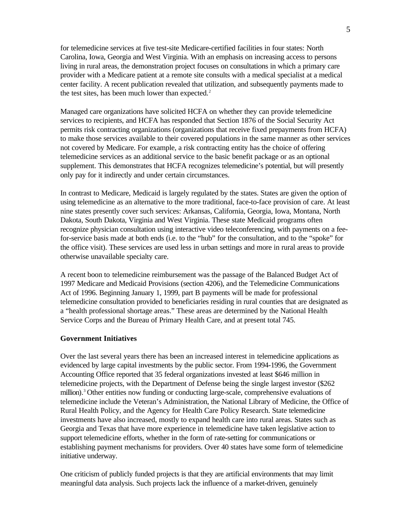for telemedicine services at five test-site Medicare-certified facilities in four states: North Carolina, Iowa, Georgia and West Virginia. With an emphasis on increasing access to persons living in rural areas, the demonstration project focuses on consultations in which a primary care provider with a Medicare patient at a remote site consults with a medical specialist at a medical center facility. A recent publication revealed that utilization, and subsequently payments made to the test sites, has been much lower than expected. $2$ 

Managed care organizations have solicited HCFA on whether they can provide telemedicine services to recipients, and HCFA has responded that Section 1876 of the Social Security Act permits risk contracting organizations (organizations that receive fixed prepayments from HCFA) to make those services available to their covered populations in the same manner as other services not covered by Medicare. For example, a risk contracting entity has the choice of offering telemedicine services as an additional service to the basic benefit package or as an optional supplement. This demonstrates that HCFA recognizes telemedicine's potential, but will presently only pay for it indirectly and under certain circumstances.

In contrast to Medicare, Medicaid is largely regulated by the states. States are given the option of using telemedicine as an alternative to the more traditional, face-to-face provision of care. At least nine states presently cover such services: Arkansas, California, Georgia, Iowa, Montana, North Dakota, South Dakota, Virginia and West Virginia. These state Medicaid programs often recognize physician consultation using interactive video teleconferencing, with payments on a feefor-service basis made at both ends (i.e. to the "hub" for the consultation, and to the "spoke" for the office visit). These services are used less in urban settings and more in rural areas to provide otherwise unavailable specialty care.

A recent boon to telemedicine reimbursement was the passage of the Balanced Budget Act of 1997 Medicare and Medicaid Provisions (section 4206), and the Telemedicine Communications Act of 1996. Beginning January 1, 1999, part B payments will be made for professional telemedicine consultation provided to beneficiaries residing in rural counties that are designated as a "health professional shortage areas." These areas are determined by the National Health Service Corps and the Bureau of Primary Health Care, and at present total 745.

#### **Government Initiatives**

Over the last several years there has been an increased interest in telemedicine applications as evidenced by large capital investments by the public sector. From 1994-1996, the Government Accounting Office reported that 35 federal organizations invested at least \$646 million in telemedicine projects, with the Department of Defense being the single largest investor (\$262 million).<sup>3</sup> Other entities now funding or conducting large-scale, comprehensive evaluations of telemedicine include the Veteran's Administration, the National Library of Medicine, the Office of Rural Health Policy, and the Agency for Health Care Policy Research. State telemedicine investments have also increased, mostly to expand health care into rural areas. States such as Georgia and Texas that have more experience in telemedicine have taken legislative action to support telemedicine efforts, whether in the form of rate-setting for communications or establishing payment mechanisms for providers. Over 40 states have some form of telemedicine initiative underway.

One criticism of publicly funded projects is that they are artificial environments that may limit meaningful data analysis. Such projects lack the influence of a market-driven, genuinely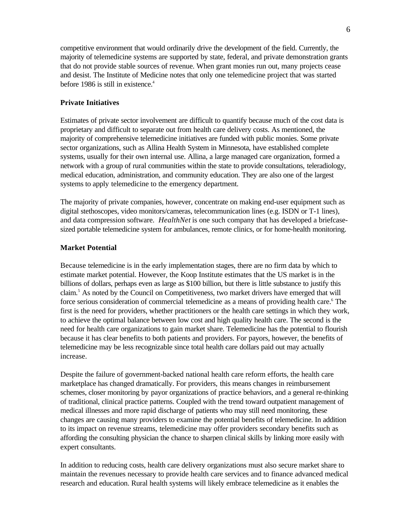competitive environment that would ordinarily drive the development of the field. Currently, the majority of telemedicine systems are supported by state, federal, and private demonstration grants that do not provide stable sources of revenue. When grant monies run out, many projects cease and desist. The Institute of Medicine notes that only one telemedicine project that was started before 1986 is still in existence.<sup>4</sup>

## **Private Initiatives**

Estimates of private sector involvement are difficult to quantify because much of the cost data is proprietary and difficult to separate out from health care delivery costs. As mentioned, the majority of comprehensive telemedicine initiatives are funded with public monies. Some private sector organizations, such as Allina Health System in Minnesota, have established complete systems, usually for their own internal use. Allina, a large managed care organization, formed a network with a group of rural communities within the state to provide consultations, teleradiology, medical education, administration, and community education. They are also one of the largest systems to apply telemedicine to the emergency department.

The majority of private companies, however, concentrate on making end-user equipment such as digital stethoscopes, video monitors/cameras, telecommunication lines (e.g. ISDN or T-1 lines), and data compression software. *HealthNet* is one such company that has developed a briefcasesized portable telemedicine system for ambulances, remote clinics, or for home-health monitoring.

#### **Market Potential**

Because telemedicine is in the early implementation stages, there are no firm data by which to estimate market potential. However, the Koop Institute estimates that the US market is in the billions of dollars, perhaps even as large as \$100 billion, but there is little substance to justify this claim.<sup>5</sup> As noted by the Council on Competitiveness, two market drivers have emerged that will force serious consideration of commercial telemedicine as a means of providing health care.<sup>6</sup> The first is the need for providers, whether practitioners or the health care settings in which they work, to achieve the optimal balance between low cost and high quality health care. The second is the need for health care organizations to gain market share. Telemedicine has the potential to flourish because it has clear benefits to both patients and providers. For payors, however, the benefits of telemedicine may be less recognizable since total health care dollars paid out may actually increase.

Despite the failure of government-backed national health care reform efforts, the health care marketplace has changed dramatically. For providers, this means changes in reimbursement schemes, closer monitoring by payor organizations of practice behaviors, and a general re-thinking of traditional, clinical practice patterns. Coupled with the trend toward outpatient management of medical illnesses and more rapid discharge of patients who may still need monitoring, these changes are causing many providers to examine the potential benefits of telemedicine. In addition to its impact on revenue streams, telemedicine may offer providers secondary benefits such as affording the consulting physician the chance to sharpen clinical skills by linking more easily with expert consultants.

In addition to reducing costs, health care delivery organizations must also secure market share to maintain the revenues necessary to provide health care services and to finance advanced medical research and education. Rural health systems will likely embrace telemedicine as it enables the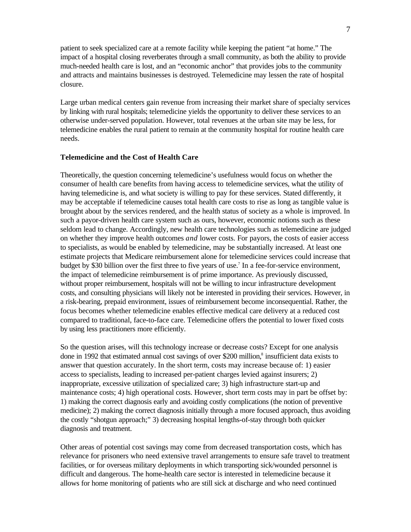patient to seek specialized care at a remote facility while keeping the patient "at home." The impact of a hospital closing reverberates through a small community, as both the ability to provide much-needed health care is lost, and an "economic anchor" that provides jobs to the community and attracts and maintains businesses is destroyed. Telemedicine may lessen the rate of hospital closure.

Large urban medical centers gain revenue from increasing their market share of specialty services by linking with rural hospitals; telemedicine yields the opportunity to deliver these services to an otherwise under-served population. However, total revenues at the urban site may be less, for telemedicine enables the rural patient to remain at the community hospital for routine health care needs.

#### **Telemedicine and the Cost of Health Care**

Theoretically, the question concerning telemedicine's usefulness would focus on whether the consumer of health care benefits from having access to telemedicine services, what the utility of having telemedicine is, and what society is willing to pay for these services. Stated differently, it may be acceptable if telemedicine causes total health care costs to rise as long as tangible value is brought about by the services rendered, and the health status of society as a whole is improved. In such a payor-driven health care system such as ours, however, economic notions such as these seldom lead to change. Accordingly, new health care technologies such as telemedicine are judged on whether they improve health outcomes *and* lower costs. For payors, the costs of easier access to specialists, as would be enabled by telemedicine, may be substantially increased. At least one estimate projects that Medicare reimbursement alone for telemedicine services could increase that budget by \$30 billion over the first three to five years of use.<sup>7</sup> In a fee-for-service environment, the impact of telemedicine reimbursement is of prime importance. As previously discussed, without proper reimbursement, hospitals will not be willing to incur infrastructure development costs, and consulting physicians will likely not be interested in providing their services. However, in a risk-bearing, prepaid environment, issues of reimbursement become inconsequential. Rather, the focus becomes whether telemedicine enables effective medical care delivery at a reduced cost compared to traditional, face-to-face care. Telemedicine offers the potential to lower fixed costs by using less practitioners more efficiently.

So the question arises, will this technology increase or decrease costs? Except for one analysis done in 1992 that estimated annual cost savings of over \$200 million,<sup>8</sup> insufficient data exists to answer that question accurately. In the short term, costs may increase because of: 1) easier access to specialists, leading to increased per-patient charges levied against insurers; 2) inappropriate, excessive utilization of specialized care; 3) high infrastructure start-up and maintenance costs; 4) high operational costs. However, short term costs may in part be offset by: 1) making the correct diagnosis early and avoiding costly complications (the notion of preventive medicine); 2) making the correct diagnosis initially through a more focused approach, thus avoiding the costly "shotgun approach;" 3) decreasing hospital lengths-of-stay through both quicker diagnosis and treatment.

Other areas of potential cost savings may come from decreased transportation costs, which has relevance for prisoners who need extensive travel arrangements to ensure safe travel to treatment facilities, or for overseas military deployments in which transporting sick/wounded personnel is difficult and dangerous. The home-health care sector is interested in telemedicine because it allows for home monitoring of patients who are still sick at discharge and who need continued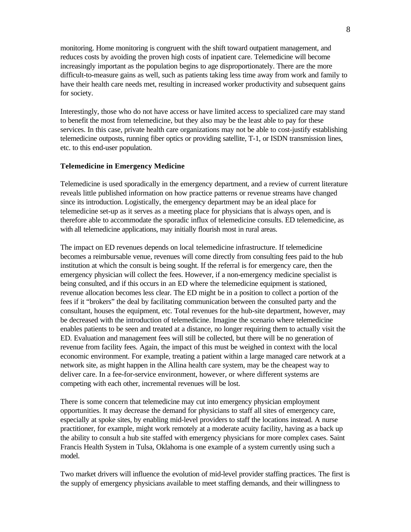monitoring. Home monitoring is congruent with the shift toward outpatient management, and reduces costs by avoiding the proven high costs of inpatient care. Telemedicine will become increasingly important as the population begins to age disproportionately. There are the more difficult-to-measure gains as well, such as patients taking less time away from work and family to have their health care needs met, resulting in increased worker productivity and subsequent gains for society.

Interestingly, those who do not have access or have limited access to specialized care may stand to benefit the most from telemedicine, but they also may be the least able to pay for these services. In this case, private health care organizations may not be able to cost-justify establishing telemedicine outposts, running fiber optics or providing satellite, T-1, or ISDN transmission lines, etc. to this end-user population.

## **Telemedicine in Emergency Medicine**

Telemedicine is used sporadically in the emergency department, and a review of current literature reveals little published information on how practice patterns or revenue streams have changed since its introduction. Logistically, the emergency department may be an ideal place for telemedicine set-up as it serves as a meeting place for physicians that is always open, and is therefore able to accommodate the sporadic influx of telemedicine consults. ED telemedicine, as with all telemedicine applications, may initially flourish most in rural areas.

The impact on ED revenues depends on local telemedicine infrastructure. If telemedicine becomes a reimbursable venue, revenues will come directly from consulting fees paid to the hub institution at which the consult is being sought. If the referral is for emergency care, then the emergency physician will collect the fees. However, if a non-emergency medicine specialist is being consulted, and if this occurs in an ED where the telemedicine equipment is stationed, revenue allocation becomes less clear. The ED might be in a position to collect a portion of the fees if it "brokers" the deal by facilitating communication between the consulted party and the consultant, houses the equipment, etc. Total revenues for the hub-site department, however, may be decreased with the introduction of telemedicine. Imagine the scenario where telemedicine enables patients to be seen and treated at a distance, no longer requiring them to actually visit the ED. Evaluation and management fees will still be collected, but there will be no generation of revenue from facility fees. Again, the impact of this must be weighed in context with the local economic environment. For example, treating a patient within a large managed care network at a network site, as might happen in the Allina health care system, may be the cheapest way to deliver care. In a fee-for-service environment, however, or where different systems are competing with each other, incremental revenues will be lost.

There is some concern that telemedicine may cut into emergency physician employment opportunities. It may decrease the demand for physicians to staff all sites of emergency care, especially at spoke sites, by enabling mid-level providers to staff the locations instead. A nurse practitioner, for example, might work remotely at a moderate acuity facility, having as a back up the ability to consult a hub site staffed with emergency physicians for more complex cases. Saint Francis Health System in Tulsa, Oklahoma is one example of a system currently using such a model.

Two market drivers will influence the evolution of mid-level provider staffing practices. The first is the supply of emergency physicians available to meet staffing demands, and their willingness to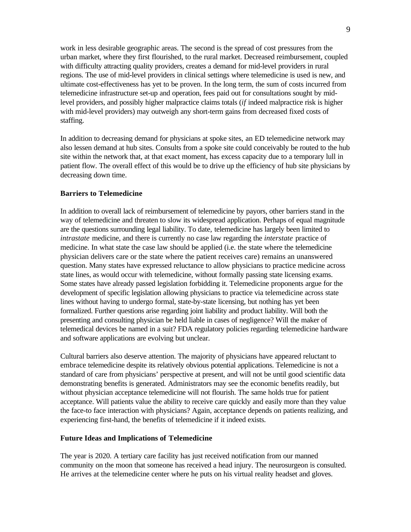work in less desirable geographic areas. The second is the spread of cost pressures from the urban market, where they first flourished, to the rural market. Decreased reimbursement, coupled with difficulty attracting quality providers, creates a demand for mid-level providers in rural regions. The use of mid-level providers in clinical settings where telemedicine is used is new, and ultimate cost-effectiveness has yet to be proven. In the long term, the sum of costs incurred from telemedicine infrastructure set-up and operation, fees paid out for consultations sought by midlevel providers, and possibly higher malpractice claims totals (*if* indeed malpractice risk is higher with mid-level providers) may outweigh any short-term gains from decreased fixed costs of staffing.

In addition to decreasing demand for physicians at spoke sites, an ED telemedicine network may also lessen demand at hub sites. Consults from a spoke site could conceivably be routed to the hub site within the network that, at that exact moment, has excess capacity due to a temporary lull in patient flow. The overall effect of this would be to drive up the efficiency of hub site physicians by decreasing down time.

## **Barriers to Telemedicine**

In addition to overall lack of reimbursement of telemedicine by payors, other barriers stand in the way of telemedicine and threaten to slow its widespread application. Perhaps of equal magnitude are the questions surrounding legal liability. To date, telemedicine has largely been limited to *intrastate* medicine, and there is currently no case law regarding the *interstate* practice of medicine. In what state the case law should be applied (i.e. the state where the telemedicine physician delivers care or the state where the patient receives care) remains an unanswered question. Many states have expressed reluctance to allow physicians to practice medicine across state lines, as would occur with telemedicine, without formally passing state licensing exams. Some states have already passed legislation forbidding it. Telemedicine proponents argue for the development of specific legislation allowing physicians to practice via telemedicine across state lines without having to undergo formal, state-by-state licensing, but nothing has yet been formalized. Further questions arise regarding joint liability and product liability. Will both the presenting and consulting physician be held liable in cases of negligence? Will the maker of telemedical devices be named in a suit? FDA regulatory policies regarding telemedicine hardware and software applications are evolving but unclear.

Cultural barriers also deserve attention. The majority of physicians have appeared reluctant to embrace telemedicine despite its relatively obvious potential applications. Telemedicine is not a standard of care from physicians' perspective at present, and will not be until good scientific data demonstrating benefits is generated. Administrators may see the economic benefits readily, but without physician acceptance telemedicine will not flourish. The same holds true for patient acceptance. Will patients value the ability to receive care quickly and easily more than they value the face-to face interaction with physicians? Again, acceptance depends on patients realizing, and experiencing first-hand, the benefits of telemedicine if it indeed exists.

#### **Future Ideas and Implications of Telemedicine**

The year is 2020. A tertiary care facility has just received notification from our manned community on the moon that someone has received a head injury. The neurosurgeon is consulted. He arrives at the telemedicine center where he puts on his virtual reality headset and gloves.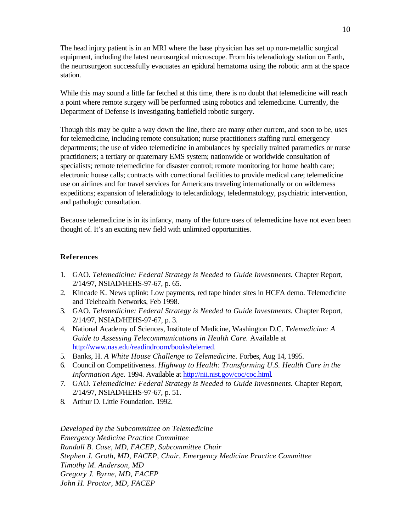The head injury patient is in an MRI where the base physician has set up non-metallic surgical equipment, including the latest neurosurgical microscope. From his teleradiology station on Earth, the neurosurgeon successfully evacuates an epidural hematoma using the robotic arm at the space station.

While this may sound a little far fetched at this time, there is no doubt that telemedicine will reach a point where remote surgery will be performed using robotics and telemedicine. Currently, the Department of Defense is investigating battlefield robotic surgery.

Though this may be quite a way down the line, there are many other current, and soon to be, uses for telemedicine, including remote consultation; nurse practitioners staffing rural emergency departments; the use of video telemedicine in ambulances by specially trained paramedics or nurse practitioners; a tertiary or quaternary EMS system; nationwide or worldwide consultation of specialists; remote telemedicine for disaster control; remote monitoring for home health care; electronic house calls; contracts with correctional facilities to provide medical care; telemedicine use on airlines and for travel services for Americans traveling internationally or on wilderness expeditions; expansion of teleradiology to telecardiology, teledermatology, psychiatric intervention, and pathologic consultation.

Because telemedicine is in its infancy, many of the future uses of telemedicine have not even been thought of. It's an exciting new field with unlimited opportunities.

### **References**

- 1. GAO. *Telemedicine: Federal Strategy is Needed to Guide Investments.* Chapter Report, 2/14/97, NSIAD/HEHS-97-67, p. 65.
- 2. Kincade K. News uplink: Low payments, red tape hinder sites in HCFA demo. Telemedicine and Telehealth Networks, Feb 1998.
- 3. GAO. *Telemedicine: Federal Strategy is Needed to Guide Investments.* Chapter Report, 2/14/97, NSIAD/HEHS-97-67, p. 3.
- 4. National Academy of Sciences, Institute of Medicine, Washington D.C. *Telemedicine: A Guide to Assessing Telecommunications in Health Care.* Available at http://www.nas.edu/readindroom/books/telemed*.*
- 5. Banks, H. *A White House Challenge to Telemedicine.* Forbes, Aug 14, 1995.
- 6. Council on Competitiveness. *Highway to Health: Transforming U.S. Health Care in the Information Age.* 1994. Available at http://nii.nist.gov/coc/coc.html*.*
- 7. GAO. *Telemedicine: Federal Strategy is Needed to Guide Investments.* Chapter Report, 2/14/97, NSIAD/HEHS-97-67, p. 51.
- 8. Arthur D. Little Foundation. 1992.

*Developed by the Subcommittee on Telemedicine Emergency Medicine Practice Committee Randall B. Case, MD, FACEP, Subcommittee Chair Stephen J. Groth, MD, FACEP, Chair, Emergency Medicine Practice Committee Timothy M. Anderson, MD Gregory J. Byrne, MD, FACEP John H. Proctor, MD, FACEP*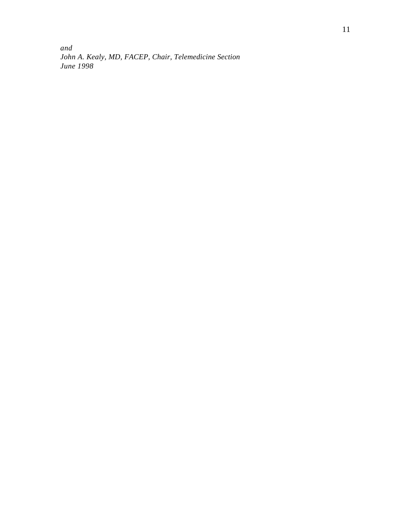*and John A. Kealy, MD, FACEP, Chair, Telemedicine Section June 1998*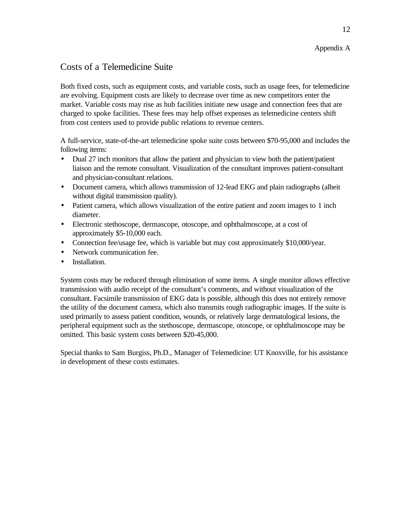# Appendix A

# Costs of a Telemedicine Suite

Both fixed costs, such as equipment costs, and variable costs, such as usage fees, for telemedicine are evolving. Equipment costs are likely to decrease over time as new competitors enter the market. Variable costs may rise as hub facilities initiate new usage and connection fees that are charged to spoke facilities. These fees may help offset expenses as telemedicine centers shift from cost centers used to provide public relations to revenue centers.

A full-service, state-of-the-art telemedicine spoke suite costs between \$70-95,000 and includes the following items:

- Dual 27 inch monitors that allow the patient and physician to view both the patient/patient liaison and the remote consultant. Visualization of the consultant improves patient-consultant and physician-consultant relations.
- Document camera, which allows transmission of 12-lead EKG and plain radiographs (albeit without digital transmission quality).
- Patient camera, which allows visualization of the entire patient and zoom images to 1 inch diameter.
- Electronic stethoscope, dermascope, otoscope, and ophthalmoscope, at a cost of approximately \$5-10,000 each.
- Connection fee/usage fee, which is variable but may cost approximately \$10,000/year.
- Network communication fee.
- Installation.

System costs may be reduced through elimination of some items. A single monitor allows effective transmission with audio receipt of the consultant's comments, and without visualization of the consultant. Facsimile transmission of EKG data is possible, although this does not entirely remove the utility of the document camera, which also transmits rough radiographic images. If the suite is used primarily to assess patient condition, wounds, or relatively large dermatological lesions, the peripheral equipment such as the stethoscope, dermascope, otoscope, or ophthalmoscope may be omitted. This basic system costs between \$20-45,000.

Special thanks to Sam Burgiss, Ph.D., Manager of Telemedicine: UT Knoxville, for his assistance in development of these costs estimates.